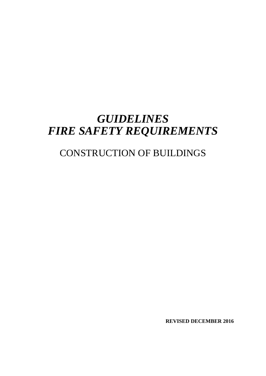# *GUIDELINES FIRE SAFETY REQUIREMENTS*

# CONSTRUCTION OF BUILDINGS

**REVISED DECEMBER 2016**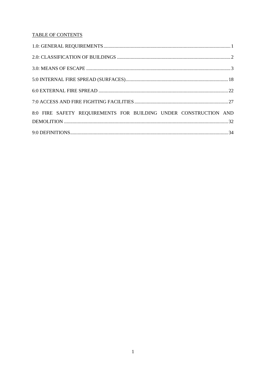## **TABLE OF CONTENTS**

| 8:0 FIRE SAFETY REQUIREMENTS FOR BUILDING UNDER CONSTRUCTION AND |
|------------------------------------------------------------------|
|                                                                  |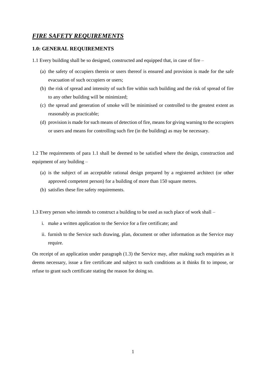# *FIRE SAFETY REQUIREMENTS*

## <span id="page-2-0"></span>**1.0: GENERAL REQUIREMENTS**

1.1 Every building shall be so designed, constructed and equipped that, in case of fire –

- (a) the safety of occupiers therein or users thereof is ensured and provision is made for the safe evacuation of such occupiers or users;
- (b) the risk of spread and intensity of such fire within such building and the risk of spread of fire to any other building will be minimized;
- (c) the spread and generation of smoke will be minimised or controlled to the greatest extent as reasonably as practicable;
- (d) provision is made for such means of detection of fire, means for giving warning to the occupiers or users and means for controlling such fire (in the building) as may be necessary.

1.2 The requirements of para 1.1 shall be deemed to be satisfied where the design, construction and equipment of any building –

- (a) is the subject of an acceptable rational design prepared by a registered architect (or other approved competent person) for a building of more than 150 square metres.
- (b) satisfies these fire safety requirements.

1.3 Every person who intends to construct a building to be used as such place of work shall –

- i. make a written application to the Service for a fire certificate; and
- ii. furnish to the Service such drawing, plan, document or other information as the Service may require.

On receipt of an application under paragraph (1.3) the Service may, after making such enquiries as it deems necessary, issue a fire certificate and subject to such conditions as it thinks fit to impose, or refuse to grant such certificate stating the reason for doing so.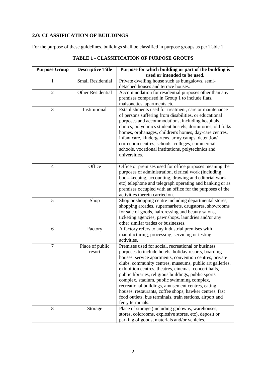## <span id="page-3-0"></span>**2.0: CLASSIFICATION OF BUILDINGS**

For the purpose of these guidelines, buildings shall be classified in purpose groups as per Table 1.

| <b>Purpose Group</b> | <b>Descriptive Title</b>  | Purpose for which building or part of the building is                                                                                                                                                                                                                                                                                                                                                                                                                                                                                                                                             |  |  |
|----------------------|---------------------------|---------------------------------------------------------------------------------------------------------------------------------------------------------------------------------------------------------------------------------------------------------------------------------------------------------------------------------------------------------------------------------------------------------------------------------------------------------------------------------------------------------------------------------------------------------------------------------------------------|--|--|
|                      |                           | used or intended to be used.                                                                                                                                                                                                                                                                                                                                                                                                                                                                                                                                                                      |  |  |
| 1                    | <b>Small Residential</b>  | Private dwelling house such as bungalows, semi-<br>detached houses and terrace houses.                                                                                                                                                                                                                                                                                                                                                                                                                                                                                                            |  |  |
| $\overline{2}$       | Other Residential         | Accommodation for residential purposes other than any<br>premises comprised in Group 1 to include flats,<br>maisonettes, apartments etc.                                                                                                                                                                                                                                                                                                                                                                                                                                                          |  |  |
| 3                    | Institutional             | Establishments used for treatment, care or maintenance<br>of persons suffering from disabilities, or educational<br>purposes and accommodations, including hospitals,<br>clinics, polyclinics student hostels, dormitories, old folks<br>homes, orphanages, children's homes, day-care centres,<br>infant care, kindergartens, army camps, detention/<br>correction centres, schools, colleges, commercial<br>schools, vocational institutions, polytechnics and<br>universities.<br>Office or premises used for office purposes meaning the                                                      |  |  |
| $\overline{4}$       | Office                    | purposes of administration, clerical work (including<br>book-keeping, accounting, drawing and editorial work<br>etc) telephone and telegraph operating and banking or as<br>premises occupied with an office for the purposes of the<br>activities therein carried on.                                                                                                                                                                                                                                                                                                                            |  |  |
| 5                    | Shop                      | Shop or shopping centre including departmental stores,<br>shopping arcades, supermarkets, drugstores, showrooms<br>for sale of goods, hairdressing and beauty salons,<br>ticketing agencies, pawnshops, laundries and/or any<br>other similar trades or businesses.                                                                                                                                                                                                                                                                                                                               |  |  |
| 6                    | Factory                   | A factory refers to any industrial premises with<br>manufacturing, processing, servicing or testing<br>activities.                                                                                                                                                                                                                                                                                                                                                                                                                                                                                |  |  |
| $\overline{7}$       | Place of public<br>resort | Premises used for social, recreational or business<br>purposes to include hotels, holiday resorts, boarding<br>houses, service apartments, convention centres, private<br>clubs, community centres, museums, public art galleries,<br>exhibition centres, theatres, cinemas, concert halls,<br>public libraries, religious buildings, public sports<br>complex, stadium, public swimming complex,<br>recreational buildings, amusement centres, eating<br>houses, restaurants, coffee shops, hawker centres, fast<br>food outlets, bus terminals, train stations, airport and<br>ferry terminals. |  |  |
| 8                    | Storage                   | Place of storage (including godowns, warehouses,<br>stores, coldrooms, explosive stores, etc), deposit or<br>parking of goods, materials and/or vehicles.                                                                                                                                                                                                                                                                                                                                                                                                                                         |  |  |

|  | <b>TABLE 1 - CLASSIFICATION OF PURPOSE GROUPS</b> |
|--|---------------------------------------------------|
|--|---------------------------------------------------|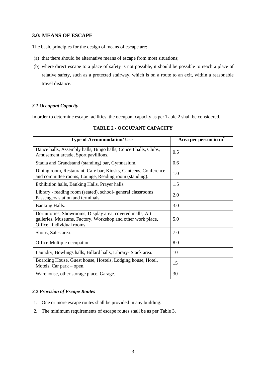## <span id="page-4-0"></span>**3.0: MEANS OF ESCAPE**

The basic principles for the design of means of escape are:

- (a) that there should be alternative means of escape from most situations;
- (b) where direct escape to a place of safety is not possible, it should be possible to reach a place of relative safety, such as a protected stairway, which is on a route to an exit, within a reasonable travel distance.

## *3.1 Occupant Capacity*

In order to determine escape facilities, the occupant capacity as per Table 2 shall be considered.

| <b>Type of Accommodation/ Use</b>                                                                                                                    | Area per person in $m2$ |
|------------------------------------------------------------------------------------------------------------------------------------------------------|-------------------------|
| Dance halls, Assembly halls, Bingo halls, Concert halls, Clubs,<br>Amusement arcade, Sport pavillions.                                               | 0.5                     |
| Stadia and Grandstand (standing) bar, Gymnasium.                                                                                                     | 0.6                     |
| Dining room, Restaurant, Café bar, Kiosks, Canteens, Conference<br>and committee rooms, Lounge, Reading room (standing).                             | 1.0                     |
| Exhibition halls, Banking Halls, Prayer halls.                                                                                                       | 1.5                     |
| Library - reading room (seated), school- general classrooms<br>Passengers station and terminals.                                                     | 2.0                     |
| <b>Banking Halls.</b>                                                                                                                                | 3.0                     |
| Dormitories, Showrooms, Display area, covered malls, Art<br>galleries, Museums, Factory, Workshop and other work place,<br>Office -individual rooms. | 5.0                     |
| Shops, Sales area.                                                                                                                                   | 7.0                     |
| Office-Multiple occupation.                                                                                                                          | 8.0                     |
| Laundry, Bowlings halls, Billard halls, Library- Stack area.                                                                                         | 10                      |
| Boarding House, Guest house, Hostels, Lodging house, Hotel,<br>Motels, Car park – open.                                                              | 15                      |
| Warehouse, other storage place, Garage.                                                                                                              | 30                      |

## **TABLE 2 - OCCUPANT CAPACITY**

## *3.2 Provision of Escape Routes*

- 1. One or more escape routes shall be provided in any building.
- 2. The minimum requirements of escape routes shall be as per Table 3.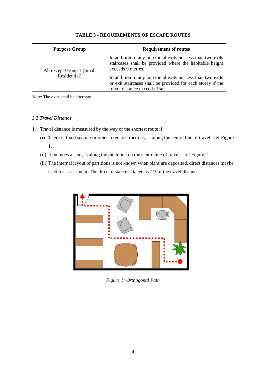| <b>Purpose Group</b>      | <b>Requirement of routes</b>                                                                                                                               |
|---------------------------|------------------------------------------------------------------------------------------------------------------------------------------------------------|
| All except Group 1 (Small | In addition to any horizontal exits not less than two exits<br>staircases shall be provided where the habitable height<br>exceeds 9 metres.                |
| Residential)              | In addition to any horizontal exits not less than two exits<br>or exit staircases shall be provided for each storey if the<br>travel distance exceeds 15m. |

## **TABLE 3 - REQUIREMENTS OF ESCAPE ROUTES**

Note: The exits shall be alternate.

## *3.2 Travel Distance*

- 1. Travel distance is measured by the way of the shortest route if:
	- (i) There is fixed seating or other fixed obstructions, is along the centre line of travel– ref Figure 1.
	- (ii) It includes a stair, is along the pitch line on the centre line of travel ref Figure 2.
	- (iii)The internal layout of partitions is not known when plans are deposited, direct distances maybe used for assessment. The direct distance is taken as 2/3 of the travel distance.



*Figure 1: Orthogonal Path*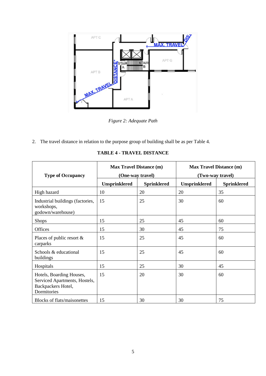

*Figure 2: Adequate Path*

2. The travel distance in relation to the purpose group of building shall be as per Table 4.

|                                                                                                | <b>Max Travel Distance (m)</b> |                    | <b>Max Travel Distance (m)</b> |                    |  |
|------------------------------------------------------------------------------------------------|--------------------------------|--------------------|--------------------------------|--------------------|--|
| <b>Type of Occupancy</b>                                                                       | (One-way travel)               |                    | (Two-way travel)               |                    |  |
|                                                                                                | <b>Unsprinklered</b>           | <b>Sprinklered</b> | <b>Unsprinklered</b>           | <b>Sprinklered</b> |  |
| High hazard                                                                                    | 10                             | 20                 | 20                             | 35                 |  |
| Industrial buildings (factories,<br>workshops,<br>godown/warehouse)                            | 15                             | 25                 | 30                             | 60                 |  |
| <b>Shops</b>                                                                                   | 15                             | 25                 | 45                             | 60                 |  |
| Offices                                                                                        | 15                             | 30                 | 45                             | 75                 |  |
| Places of public resort $\&$<br>carparks                                                       | 15                             | 25                 | 45                             | 60                 |  |
| Schools & educational<br>buildings                                                             | 15                             | 25                 | 45                             | 60                 |  |
| Hospitals                                                                                      | 15                             | 25                 | 30                             | 45                 |  |
| Hotels, Boarding Houses,<br>Serviced Apartments, Hostels,<br>Backpackers Hotel,<br>Dormitories | 15                             | 20                 | 30                             | 60                 |  |
| <b>Blocks of flats/maisonettes</b>                                                             | 15                             | 30                 | 30                             | 75                 |  |

**TABLE 4 - TRAVEL DISTANCE**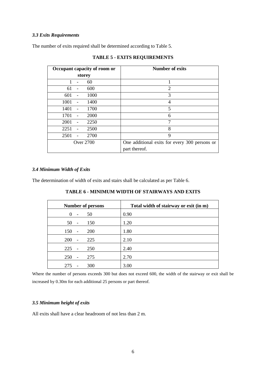#### *3.3 Exits Requirements*

The number of exits required shall be determined according to Table 5.

| Occupant capacity of room or |  |                  | Number of exits                               |
|------------------------------|--|------------------|-----------------------------------------------|
|                              |  | storey           |                                               |
|                              |  | 60               |                                               |
| 61                           |  | 600              | $\overline{2}$                                |
| 601                          |  | 1000             | 3                                             |
| 1001                         |  | 1400             | 4                                             |
| 1401                         |  | 1700             | 5                                             |
| 1701                         |  | 2000             | 6                                             |
| 2001                         |  | 2250             | $\mathcal{I}$                                 |
| 2251                         |  | 2500             | 8                                             |
| 2501                         |  | 2700             | 9                                             |
|                              |  | <b>Over 2700</b> | One additional exits for every 300 persons or |
|                              |  |                  | part thereof.                                 |

**TABLE 5 - EXITS REQUIREMENTS**

#### *3.4 Minimum Width of Exits*

The determination of width of exits and stairs shall be calculated as per Table 6.

| <b>TABLE 6 - MINIMUM WIDTH OF STAIRWAYS AND EXITS</b> |  |  |
|-------------------------------------------------------|--|--|
|-------------------------------------------------------|--|--|

| <b>Number of persons</b>   |     | Total width of stairway or exit (in m) |
|----------------------------|-----|----------------------------------------|
| $\theta$<br>$\blacksquare$ | 50  | 0.90                                   |
| $50 -$                     | 150 | 1.20                                   |
| 150<br>$\blacksquare$      | 200 | 1.80                                   |
| $200 -$                    | 225 | 2.10                                   |
| $225 -$                    | 250 | 2.40                                   |
| 250<br>$\mathbf{r}$        | 275 | 2.70                                   |
| 275<br>$\overline{a}$      | 300 | 3.00                                   |

Where the number of persons exceeds 300 but does not exceed 600, the width of the stairway or exit shall be increased by 0.30m for each additional 25 persons or part thereof.

#### *3.5 Minimum height of exits*

All exits shall have a clear headroom of not less than 2 m.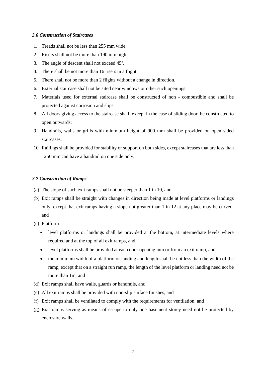#### *3.6 Construction of Staircases*

- 1. Treads shall not be less than 255 mm wide.
- 2. Risers shall not be more than 190 mm high.
- 3. The angle of descent shall not exceed 45º.
- 4. There shall be not more than 16 risers in a flight.
- 5. There shall not be more than 2 flights without a change in direction.
- 6. External staircase shall not be sited near windows or other such openings.
- 7. Materials used for external staircase shall be constructed of non combustible and shall be protected against corrosion and slips.
- 8. All doors giving access to the staircase shall, except in the case of sliding door, be constructed to open outwards;
- 9. Handrails, walls or grills with minimum height of 900 mm shall be provided on open sided staircases.
- 10. Railings shall be provided for stability or support on both sides, except staircases that are less than 1250 mm can have a handrail on one side only.

#### *3.7 Construction of Ramps*

- (a) The slope of such exit ramps shall not be steeper than 1 in 10, and
- (b) Exit ramps shall be straight with changes in direction being made at level platforms or landings only, except that exit ramps having a slope not greater than 1 in 12 at any place may be curved, and
- (c) Platform
	- level platforms or landings shall be provided at the bottom, at intermediate levels where required and at the top of all exit ramps, and
	- level platforms shall be provided at each door opening into or from an exit ramp, and
	- the minimum width of a platform or landing and length shall be not less than the width of the ramp, except that on a straight run ramp, the length of the level platform or landing need not be more than 1m, and
- (d) Exit ramps shall have walls, guards or handrails, and
- (e) All exit ramps shall be provided with non-slip surface finishes, and
- (f) Exit ramps shall be ventilated to comply with the requirements for ventilation, and
- (g) Exit ramps serving as means of escape to only one basement storey need not be protected by enclosure walls.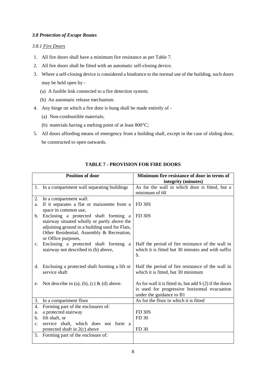## *3.8 Protection of Escape Routes*

## *3.8.1 Fire Doors*

- 1. All fire doors shall have a minimum fire resistance as per Table 7.
- 2. All fire doors shall be fitted with an automatic self-closing device.
- 3. Where a self-closing device is considered a hindrance to the normal use of the building, such doors may be held open by -
	- (a) A fusible link connected to a fire detection system;
	- (b) An automatic release mechanism.
- 4. Any hinge on which a fire door is hung shall be made entirely of
	- (a) Non-combustible materials;
	- (b) materials having a melting point of at least 800°C;
- 5. All doors affording means of emergency from a building shall, except in the case of sliding door, be constructed to open outwards.

|                | <b>Position of door</b>                                                                                                                                                                                     | Minimum fire resistance of door in terms of<br>integrity (minutes)                                                                    |
|----------------|-------------------------------------------------------------------------------------------------------------------------------------------------------------------------------------------------------------|---------------------------------------------------------------------------------------------------------------------------------------|
|                | 1. In a compartment wall separating buildings                                                                                                                                                               | As for the wall in which door is fitted, but a<br>minimum of 60                                                                       |
| 2.             | In a compartment wall:                                                                                                                                                                                      |                                                                                                                                       |
| a.             | If it separates a flat or maisonette from a<br>space in common use,                                                                                                                                         | <b>FD 30S</b>                                                                                                                         |
| $\mathbf{b}$ . | Enclosing a protected shaft forming a<br>stairway situated wholly or partly above the<br>adjoining ground in a building used for Flats,<br>Other Residential, Assembly & Recreation,<br>or Office purposes, | <b>FD 30S</b>                                                                                                                         |
| c.             | Enclosing a protected shaft forming a<br>stairway not described in (b) above,                                                                                                                               | Half the period of fire resistance of the wall in<br>which it is fitted but 30 minutes and with suffix<br>S.                          |
| d.             | Enclosing a protected shaft forming a lift or<br>service shaft                                                                                                                                              | Half the period of fire resistance of the wall in<br>which it is fitted, but 30 minimum                                               |
| e.             | Not describe in (a), (b), (c) & (d) above.                                                                                                                                                                  | As for wall it is fitted in, but add $S(2)$ if the doors<br>is used for progressive horizontal evacuation<br>under the guidance to B1 |
| 3.             | In a compartment floor                                                                                                                                                                                      | As for the floor in which it is fitted                                                                                                |
| 4.             | Forming part of the enclosures of:                                                                                                                                                                          |                                                                                                                                       |
| a.             | a protected stairway                                                                                                                                                                                        | <b>FD 30S</b>                                                                                                                         |
| b.             | lift shaft, or                                                                                                                                                                                              | FD 30                                                                                                                                 |
| $\mathbf{c}$ . | service shaft, which does not form a                                                                                                                                                                        |                                                                                                                                       |
|                | protected shaft in 2(c) above                                                                                                                                                                               | FD 30                                                                                                                                 |
| 5.             | Forming part of the enclosure of:                                                                                                                                                                           |                                                                                                                                       |

## **TABLE 7 - PROVISION FOR FIRE DOORS**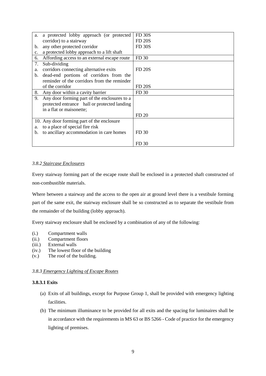| a. | a protected lobby approach (or protected     | <b>FD 30S</b> |
|----|----------------------------------------------|---------------|
|    | corridor) to a stairway                      | <b>FD 20S</b> |
| b. | any other protected corridor                 | <b>FD 30S</b> |
| c. | a protected lobby approach to a lift shaft   |               |
| 6. | Affording access to an external escape route | FD 30         |
| 7. | Sub-dividing                                 |               |
| a. | corridors connecting alternative exits       | <b>FD 20S</b> |
| b. | dead-end portions of corridors from the      |               |
|    | reminder of the corridors from the reminder  |               |
|    | of the corridor                              | <b>FD 20S</b> |
| 8. | Any door within a cavity barrier             | FD 30         |
| 9. | Any door forming part of the enclosures to a |               |
|    | protected entrance hall or protected landing |               |
|    | in a flat or maisonette;                     |               |
|    |                                              | FD 20         |
|    | 10. Any door forming part of the enclosure   |               |
| a. | to a place of special fire risk              |               |
| b. | to ancillary accommodation in care homes     | FD 30         |
|    |                                              |               |
|    |                                              | FD 30         |

#### *3.8.2 Staircase Enclosures*

Every stairway forming part of the escape route shall be enclosed in a protected shaft constructed of non-combustible materials.

Where between a stairway and the access to the open air at ground level there is a vestibule forming part of the same exit, the stairway enclosure shall be so constructed as to separate the vestibule from the remainder of the building (lobby approach).

Every stairway enclosure shall be enclosed by a combination of any of the following:

- (i.) Compartment walls
- (ii.) Compartment floors
- (iii.) External walls
- (iv.) The lowest floor of the building
- (v.) The roof of the building.

#### *3.8.3 Emergency Lighting of Escape Routes*

## **3.8.3.1 Exits**

- (a) Exits of all buildings, except for Purpose Group 1, shall be provided with emergency lighting facilities.
- (b) The minimum illuminance to be provided for all exits and the spacing for luminaires shall be in accordance with the requirements in MS 63 or BS 5266 - Code of practice for the emergency lighting of premises.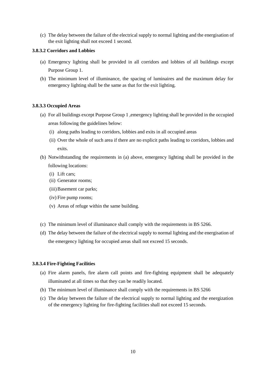(c) The delay between the failure of the electrical supply to normal lighting and the energisation of the exit lighting shall not exceed 1 second.

#### **3.8.3.2 Corridors and Lobbies**

- (a) Emergency lighting shall be provided in all corridors and lobbies of all buildings except Purpose Group 1.
- (b) The minimum level of illuminance, the spacing of luminaires and the maximum delay for emergency lighting shall be the same as that for the exit lighting.

## **3.8.3.3 Occupied Areas**

- (a) For all buildings except Purpose Group 1 ,emergency lighting shall be provided in the occupied areas following the guidelines below:
	- (i) along paths leading to corridors, lobbies and exits in all occupied areas
	- (ii) Over the whole of such area if there are no explicit paths leading to corridors, lobbies and exits.
- (b) Notwithstanding the requirements in (a) above, emergency lighting shall be provided in the following locations:
	- (i) Lift cars;
	- (ii) Generator rooms;
	- (iii)Basement car parks;
	- (iv) Fire pump rooms;
	- (v) Areas of refuge within the same building.
- (c) The minimum level of illuminance shall comply with the requirements in BS 5266.
- (d) The delay between the failure of the electrical supply to normal lighting and the energisation of the emergency lighting for occupied areas shall not exceed 15 seconds.

## **3.8.3.4 Fire-Fighting Facilities**

- (a) Fire alarm panels, fire alarm call points and fire-fighting equipment shall be adequately illuminated at all times so that they can be readily located.
- (b) The minimum level of illuminance shall comply with the requirements in BS 5266
- (c) The delay between the failure of the electrical supply to normal lighting and the energization of the emergency lighting for fire-fighting facilities shall not exceed 15 seconds.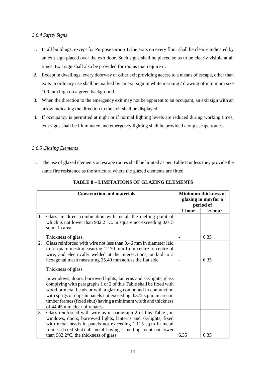## *3.8.4 Safety Signs*

- 1. In all buildings, except for Purpose Group 1, the exits on every floor shall be clearly indicated by an exit sign placed over the exit door. Such signs shall be placed so as to be clearly visible at all times. Exit sign shall also be provided for rooms that require it.
- 2. Except in dwellings, every doorway or other exit providing access to a means of escape, other than exits in ordinary use shall be marked by an exit sign in white marking / drawing of minimum size 100 mm high on a green background.
- 3. When the direction to the emergency exit may not be apparent to an occupant, an exit sign with an arrow indicating the direction to the exit shall be displayed.
- 4. If occupancy is permitted at night or if normal lighting levels are reduced during working times, exit signs shall be illuminated and emergency lighting shall be provided along escape routes.

## *3.8.5 Glazing Elements*

1. The use of glazed elements on escape routes shall be limited as per Table 8 unless they provide the same fire resistance as the structure where the glazed elements are fitted.

| <b>Construction and materials</b> |                                                                                                                                                                                                                                                                                                                                                                                                                                                                                                                                                                                                                                                                              | <b>Minimum thickness of</b><br>glazing in mm for a<br>period of |                    |
|-----------------------------------|------------------------------------------------------------------------------------------------------------------------------------------------------------------------------------------------------------------------------------------------------------------------------------------------------------------------------------------------------------------------------------------------------------------------------------------------------------------------------------------------------------------------------------------------------------------------------------------------------------------------------------------------------------------------------|-----------------------------------------------------------------|--------------------|
|                                   |                                                                                                                                                                                                                                                                                                                                                                                                                                                                                                                                                                                                                                                                              | 1 hour                                                          | $\frac{1}{2}$ hour |
| 1.                                | Glass, in direct combination with metal, the melting point of<br>which is not lower than 982.2 $\degree$ C, in square not exceeding 0.015<br>sq.m. in area                                                                                                                                                                                                                                                                                                                                                                                                                                                                                                                   |                                                                 |                    |
|                                   | Thickness of glass.                                                                                                                                                                                                                                                                                                                                                                                                                                                                                                                                                                                                                                                          |                                                                 | 6.35               |
| 2.                                | Glass reinforced with wire not less than 0.46 mm in diameter laid<br>to a square mesh measuring 12.70 mm from centre to centre of<br>wire, and electrically welded at the intersections, or laid to a<br>hexagonal mesh measuring 25.40 mm across the flat side<br>Thickness of glass<br>In windows, doors, borrowed lights, lanterns and skylights, glass<br>complying with paragraphs 1 or 2 of this Table shall be fixed with<br>wood or metal beads or with a glazing compound in conjunction<br>with sprigs or clips in panels not exceeding 0.372 sq.m. in area in<br>timber frames (fixed shut) having a minimum width and thickness<br>of 44.45 mm clear of rebates. |                                                                 | 6.35               |
| 3.                                | Glass reinforced with wire as in paragraph 2 of this Table, in                                                                                                                                                                                                                                                                                                                                                                                                                                                                                                                                                                                                               |                                                                 |                    |
|                                   | windows, doors, borrowed lights, lanterns and skylights, fixed<br>with metal beads in panels not exceeding 1.115 sq.m in metal<br>frames (fixed shut) all metal having a melting point not lower<br>than 982.2 $\degree$ C, the thickness of glass                                                                                                                                                                                                                                                                                                                                                                                                                           | 6.35                                                            | 6.35               |

## **TABLE 8 – LIMITATIONS OF GLAZING ELEMENTS**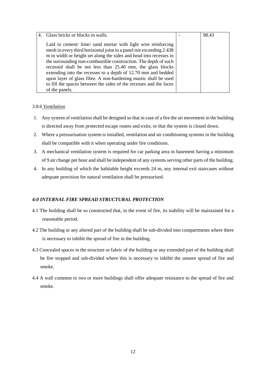| Glass bricks or blocks in walls.                                                                                                                                                                                                                                                                                                                                                                                                                                                                                                                                        | 98.43 |
|-------------------------------------------------------------------------------------------------------------------------------------------------------------------------------------------------------------------------------------------------------------------------------------------------------------------------------------------------------------------------------------------------------------------------------------------------------------------------------------------------------------------------------------------------------------------------|-------|
| Laid in cement/ lime/ sand mortar with light wire reinforcing<br>mesh in every third horizontal joint in a panel not exceeding 2.438<br>m in width or height set along the sides and head into recesses in<br>the surrounding non-combustible construction. The depth of such<br>recessed shall be not less than 25.40 mm, the glass blocks<br>extending into the recesses to a depth of 12.70 mm and bedded<br>upon layer of glass fibre. A non-hardening mastic shall be used<br>to fill the spaces between the sides of the recesses and the faces<br>of the panels. |       |

## *3.8.6 Ventilation*

- 1. Any system of ventilation shall be designed so that in case of a fire the air movement in the building is directed away from protected escape routes and exits; or that the system is closed down.
- 2. Where a pressurisation system is installed, ventilation and air conditioning systems in the building shall be compatible with it when operating under fire conditions.
- 3. A mechanical ventilation system is required for car parking area in basement having a minimum of 9 air change per hour and shall be independent of any systems serving other parts of the building.
- 4. In any building of which the habitable height exceeds 24 m, any internal exit staircases without adequate provision for natural ventilation shall be pressurised.

## *4:0 INTERNAL FIRE SPREAD STRUCTURAL PROTECTION*

- 4.1 The building shall be so constructed that, in the event of fire, its stability will be maintained for a reasonable period.
- 4.2 The building or any altered part of the building shall be sub-divided into compartments where there is necessary to inhibit the spread of fire in the building.
- 4.3 Concealed spaces in the structure or fabric of the building or any extended part of the building shall be fire stopped and sub-divided where this is necessary to inhibit the unseen spread of fire and smoke.
- 4.4 A wall common to two or more buildings shall offer adequate resistance to the spread of fire and smoke.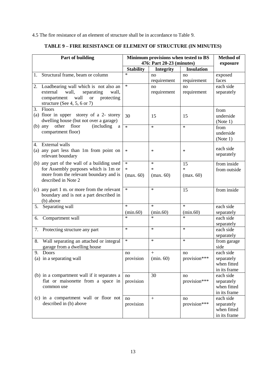4.5 The fire resistance of an element of structure shall be in accordance to Table 9.

|    | Part of building                                                               | Minimum provisions when tested to BS<br>476: Part 20-23 (minutes) |                  |                   | <b>Method of</b><br>exposure |
|----|--------------------------------------------------------------------------------|-------------------------------------------------------------------|------------------|-------------------|------------------------------|
|    |                                                                                | <b>Stability</b>                                                  | <b>Integrity</b> | <b>Insulation</b> |                              |
|    | 1. Structural frame, beam or column                                            | $\ast$                                                            | no               | no                | exposed                      |
|    |                                                                                |                                                                   | requirement      | requirement       | faces                        |
|    | 2. Loadbearing wall which is not also an                                       | $\ast$                                                            | no               | no                | each side                    |
|    | external<br>wall,<br>separating<br>wall,                                       |                                                                   | requirement      | requirement       | separately                   |
|    | wall<br><b>or</b><br>protecting<br>compartment<br>structure (See 4, 5, 6 or 7) |                                                                   |                  |                   |                              |
|    | 3. Floors                                                                      |                                                                   |                  |                   | from                         |
|    | (a) floor in upper storey of a 2- storey                                       | 30                                                                | 15               | 15                | underside                    |
|    | dwelling house (but not over a garage)                                         |                                                                   |                  |                   | (Note 1)                     |
|    | (b) any other floor<br>(including)<br>a                                        | $\ast$                                                            | $\ast$           | $\ast$            | from                         |
|    | compartment floor)                                                             |                                                                   |                  |                   | underside                    |
|    |                                                                                |                                                                   |                  |                   | (Note 1)                     |
|    | 4. External walls                                                              |                                                                   |                  |                   | each side                    |
|    | (a) any part less than 1m from point on                                        | $\ast$                                                            | $\ast$           | $\ast$            | separately                   |
|    | relevant boundary                                                              |                                                                   |                  |                   |                              |
|    | (b) any part of the wall of a building used                                    | $\ast$                                                            | $\ast$           | 15                | from inside                  |
|    | for Assembly purposes which is 1m or                                           | $\ast$                                                            | $\ast$           | $\ast$            | from outside                 |
|    | more from the relevant boundary and is<br>described in Note 2                  | (max. 60)                                                         | (max. 60)        | (max. 60)         |                              |
|    |                                                                                |                                                                   |                  |                   |                              |
|    | (c) any part 1 m. or more from the relevant                                    | $\ast$                                                            | $\ast$           | 15                | from inside                  |
|    | boundary and is not a part described in                                        |                                                                   |                  |                   |                              |
| 5. | (b) above<br>Separating wall                                                   | $\ast$                                                            | $\star$          | $\ast$            | each side                    |
|    |                                                                                | (min.60)                                                          | (min.60)         | (min.60)          | separately                   |
| 6. | Compartment wall                                                               | $\ast$                                                            | $\ast$           | $\ast$            | each side                    |
|    |                                                                                |                                                                   |                  |                   | separately                   |
|    | 7. Protecting structure any part                                               | $\ast$                                                            | $\ast$           | $\ast$            | each side                    |
|    |                                                                                |                                                                   |                  |                   | separately                   |
|    | 8. Wall separating an attached or integral                                     | $\ast$                                                            | $\ast$           | $\ast$            | from garage                  |
|    | garage from a dwelling house                                                   |                                                                   |                  |                   | side                         |
|    | 9. Doors                                                                       | no                                                                | $\ddot{}$        | $\mathbf{u}$      | each side                    |
|    | (a) in a separating wall                                                       | provision                                                         | (min.60)         | provision***      | separately<br>when fitted    |
|    |                                                                                |                                                                   |                  |                   | in its frame                 |
|    | (b) in a compartment wall if it separates a                                    | no                                                                | 30               | no                | each side                    |
|    | flat or maisonette from a space in                                             | provision                                                         |                  | provision***      | separately                   |
|    | common use                                                                     |                                                                   |                  |                   | when fitted                  |
|    |                                                                                |                                                                   |                  |                   | in its frame                 |
|    | (c) in a compartment wall or floor not                                         | no                                                                | $\ddot{+}$       | no                | each side                    |
|    | described in (b) above                                                         | provision                                                         |                  | provision***      | separately                   |
|    |                                                                                |                                                                   |                  |                   | when fitted                  |
|    |                                                                                |                                                                   |                  |                   | in its frame                 |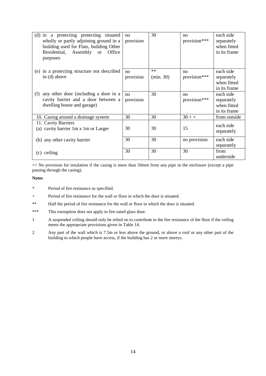| (d) in a protecting protecting situated<br>wholly or partly adjoining ground in a<br>building used for Flats, building Other<br>Residential, Assembly or<br>Office<br>purposes | no<br>provision | 30               | no<br>provision*** | each side<br>separately<br>when fitted<br>in its frame |
|--------------------------------------------------------------------------------------------------------------------------------------------------------------------------------|-----------------|------------------|--------------------|--------------------------------------------------------|
| (e) in a protecting structure not described<br>in (d) above                                                                                                                    | no<br>provision | $**$<br>(min.30) | no<br>provision*** | each side<br>separately<br>when fitted<br>in its frame |
| any other door (including a door in a<br>(f)<br>cavity barrier and a door between a<br>dwelling house and garage)                                                              | no<br>provision | 30               | no<br>provision*** | each side<br>separately<br>when fitted<br>in its frame |
| 10. Casing around a drainage system                                                                                                                                            | 30              | 30               | $30 + +$           | from outside                                           |
| 11. Cavity Barriers<br>(a) cavity barrier 1m x 1m or Larger                                                                                                                    | 30              | 30               | 15                 | each side<br>separately                                |
| (b) any other cavity barrier                                                                                                                                                   | 30              | 30               | no provision       | each side<br>separately                                |
| ceiling<br>(c)                                                                                                                                                                 | 30              | 30               | 30                 | from<br>underside                                      |

++ No provision for insulation if the casing is more than 50mm from any pipe in the enclosure (except a pipe passing through the casing).

#### **Notes**

- \* Period of fire resistance as specified.
- + Period of fire resistance for the wall or floor in which the door is situated.
- \*\* Half the period of fire resistance for the wall or floor in which the door is situated.
- \*\*\* This exemption does not apply to fire-rated glass door.
- 1 A suspended ceiling should only be relied on to contribute to the fire resistance of the floor if the ceiling meets the appropriate provisions given in Table 14.
- 2 Any part of the wall which is 7.5m or less above the ground, or above a roof or any other part of the building to which people have access, if the building has 2 or more storeys.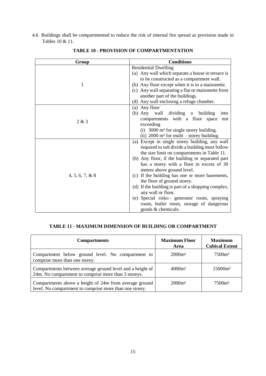4.6 Buildings shall be compartmented to reduce the risk of internal fire spread as provision made in Tables 10 & 11.

| Group              | <b>Conditions</b>                                    |  |  |
|--------------------|------------------------------------------------------|--|--|
|                    | <b>Residential Dwelling</b>                          |  |  |
|                    | (a) Any wall which separate a house in terrace is    |  |  |
|                    | to be constructed as a compartment wall.             |  |  |
| 1                  | (b) Any floor except when it is in a maisonette.     |  |  |
|                    | (c) Any wall separating a flat or maisonette from    |  |  |
|                    | another part of the buildings.                       |  |  |
|                    | (d) Any wall enclosing a refuge chamber.             |  |  |
|                    | (a) Any floor                                        |  |  |
|                    | (b) Any wall dividing a building<br>into             |  |  |
| 2 & 3              | compartments with a floor space<br>not               |  |  |
|                    | exceeding                                            |  |  |
|                    | (i) $3000 \text{ m}^2$ for single storey building.   |  |  |
|                    | (ii) $2000 \text{ m}^2$ for multi – storey building. |  |  |
|                    | Except in single storey building, any wall<br>(a)    |  |  |
|                    | required to sub divide a building must follow        |  |  |
|                    | the size limit on compartments in Table 11.          |  |  |
|                    | (b) Any floor, if the building or separated part     |  |  |
|                    | has a storey with a floor in excess of 30            |  |  |
|                    | metres above ground level.                           |  |  |
| $4, 5, 6, 7, \& 8$ | (c) If the building has one or more basements,       |  |  |
|                    | the floor of ground storey.                          |  |  |
|                    | (d) If the building is part of a shopping complex,   |  |  |
|                    | any wall or floor.                                   |  |  |
|                    | (e) Special risks:- generator room, spraying         |  |  |
|                    | room, boiler room, storage of dangerous              |  |  |
|                    | goods & chemicals.                                   |  |  |

**TABLE 10 - PROVISION OF COMPARTMENTATION**

## **TABLE 11 - MAXIMUM DIMENSION OF BUILDING OR COMPARTMENT**

| <b>Compartments</b>                                                                                               | <b>Maximum Floor</b><br>Area | <b>Maximum</b><br><b>Cubical Extent</b> |
|-------------------------------------------------------------------------------------------------------------------|------------------------------|-----------------------------------------|
| Compartment below ground level. No compartment to<br>comprise more than one storey.                               | $2000m^2$                    | 7500 <sup>3</sup>                       |
| Compartments between average ground level and a height of<br>24m. No compartment to comprise more than 3 storeys. | $4000m^2$                    | 15000m <sup>3</sup>                     |
| Compartments above a height of 24m from average ground<br>level. No compartment to comprise more than one storey. | $2000m^2$                    | 7500 <sup>3</sup>                       |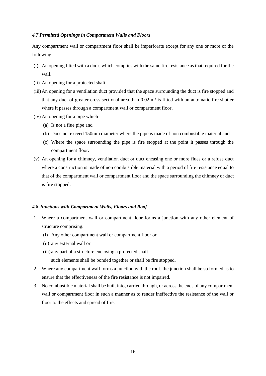#### *4.7 Permitted Openings in Compartment Walls and Floors*

Any compartment wall or compartment floor shall be imperforate except for any one or more of the following;

- (i) An opening fitted with a door, which complies with the same fire resistance as that required for the wall.
- (ii) An opening for a protected shaft.
- (iii)An opening for a ventilation duct provided that the space surrounding the duct is fire stopped and that any duct of greater cross sectional area than  $0.02 \text{ m}^3$  is fitted with an automatic fire shutter where it passes through a compartment wall or compartment floor.
- (iv) An opening for a pipe which
	- (a) Is not a flue pipe and
	- (b) Does not exceed 150mm diameter where the pipe is made of non combustible material and
	- (c) Where the space surrounding the pipe is fire stopped at the point it passes through the compartment floor.
- (v) An opening for a chimney, ventilation duct or duct encasing one or more flues or a refuse duct where a construction is made of non combustible material with a period of fire resistance equal to that of the compartment wall or compartment floor and the space surrounding the chimney or duct is fire stopped.

#### *4.8 Junctions with Compartment Walls, Floors and Roof*

- 1. Where a compartment wall or compartment floor forms a junction with any other element of structure comprising:
	- (i) Any other compartment wall or compartment floor or
	- (ii) any external wall or
	- (iii) any part of a structure enclosing a protected shaft

such elements shall be bonded together or shall be fire stopped.

- 2. Where any compartment wall forms a junction with the roof, the junction shall be so formed as to ensure that the effectiveness of the fire resistance is not impaired.
- 3. No combustible material shall be built into, carried through, or across the ends of any compartment wall or compartment floor in such a manner as to render ineffective the resistance of the wall or floor to the effects and spread of fire.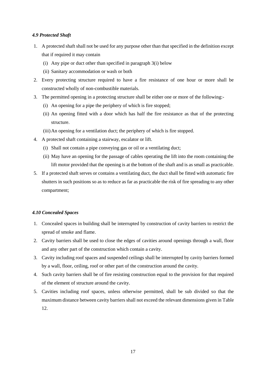#### *4.9 Protected Shaft*

- 1. A protected shaft shall not be used for any purpose other than that specified in the definition except that if required it may contain
	- (i) Any pipe or duct other than specified in paragraph 3(i) below
	- (ii) Sanitary accommodation or wash or both
- 2. Every protecting structure required to have a fire resistance of one hour or more shall be constructed wholly of non-combustible materials.
- 3. The permitted opening in a protecting structure shall be either one or more of the following:-
	- (i) An opening for a pipe the periphery of which is fire stopped;
	- (ii) An opening fitted with a door which has half the fire resistance as that of the protecting structure.
	- (iii)An opening for a ventilation duct; the periphery of which is fire stopped.
- 4. A protected shaft containing a stairway, escalator or lift.
	- (i) Shall not contain a pipe conveying gas or oil or a ventilating duct;
	- (ii) May have an opening for the passage of cables operating the lift into the room containing the lift motor provided that the opening is at the bottom of the shaft and is as small as practicable.
- 5. If a protected shaft serves or contains a ventilating duct, the duct shall be fitted with automatic fire shutters in such positions so as to reduce as far as practicable the risk of fire spreading to any other compartment;

#### *4.10 Concealed Spaces*

- 1. Concealed spaces in building shall be interrupted by construction of cavity barriers to restrict the spread of smoke and flame.
- 2. Cavity barriers shall be used to close the edges of cavities around openings through a wall, floor and any other part of the construction which contain a cavity.
- 3. Cavity including roof spaces and suspended ceilings shall be interrupted by cavity barriers formed by a wall, floor, ceiling, roof or other part of the construction around the cavity.
- 4. Such cavity barriers shall be of fire resisting construction equal to the provision for that required of the element of structure around the cavity.
- 5. Cavities including roof spaces, unless otherwise permitted, shall be sub divided so that the maximum distance between cavity barriers shall not exceed the relevant dimensions given in Table 12.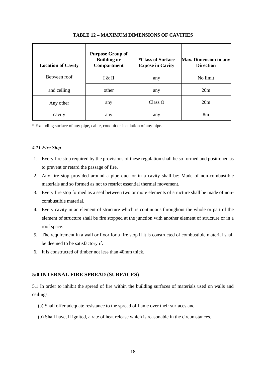| <b>Location of Cavity</b> | <b>Purpose Group of</b><br><b>Building or</b><br>Compartment | <i>*Class of Surface</i><br><b>Expose in Cavity</b> | Max. Dimension in any<br><b>Direction</b> |
|---------------------------|--------------------------------------------------------------|-----------------------------------------------------|-------------------------------------------|
| Between roof              | I & H                                                        | any                                                 | No limit                                  |
| and ceiling               | other                                                        | any                                                 | 20m                                       |
| Any other                 | any                                                          | Class O                                             | 20m                                       |
| cavity                    | any                                                          | any                                                 | 8 <sub>m</sub>                            |

#### **TABLE 12 – MAXIMUM DIMENSIONS OF CAVITIES**

\* Excluding surface of any pipe, cable, conduit or insulation of any pipe.

#### *4.11 Fire Stop*

- 1. Every fire stop required by the provisions of these regulation shall be so formed and positioned as to prevent or retard the passage of fire.
- 2. Any fire stop provided around a pipe duct or in a cavity shall be: Made of non-combustible materials and so formed as not to restrict essential thermal movement.
- 3. Every fire stop formed as a seal between two or more elements of structure shall be made of noncombustible material.
- 4. Every cavity in an element of structure which is continuous throughout the whole or part of the element of structure shall be fire stopped at the junction with another element of structure or in a roof space.
- 5. The requirement in a wall or floor for a fire stop if it is constructed of combustible material shall be deemed to be satisfactory if.
- 6. It is constructed of timber not less than 40mm thick.

#### <span id="page-19-0"></span>**5:0 INTERNAL FIRE SPREAD (SURFACES)**

5.1 In order to inhibit the spread of fire within the building surfaces of materials used on walls and ceilings.

- (a) Shall offer adequate resistance to the spread of flame over their surfaces and
- (b) Shall have, if ignited, a rate of heat release which is reasonable in the circumstances.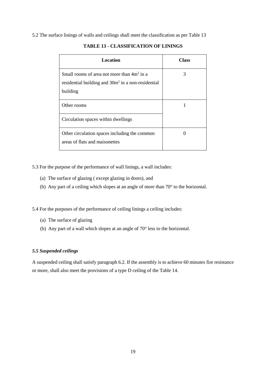5.2 The surface linings of walls and ceilings shall meet the classification as per Table 13

| Location                                                                                                       | Class |
|----------------------------------------------------------------------------------------------------------------|-------|
| Small rooms of area not more than $4m2$ in a<br>residential building and 30m <sup>2</sup> in a non-residential | 3     |
| building                                                                                                       |       |
| Other rooms                                                                                                    |       |
| Circulation spaces within dwellings                                                                            |       |
| Other circulation spaces including the common<br>areas of flats and maisonettes                                |       |

## **TABLE 13 - CLASSIFICATION OF LININGS**

5.3 For the purpose of the performance of wall linings, a wall includes:

- (a) The surface of glazing ( except glazing in doors), and
- (b) Any part of a ceiling which slopes at an angle of more than 70° to the horizontal.

5.4 For the purposes of the performance of ceiling linings a ceiling includes:

- (a) The surface of glazing
- (b) Any part of a wall which slopes at an angle of 70° less to the horizontal.

## *5.5 Suspended ceilings*

A suspended ceiling shall satisfy paragraph 6.2. If the assembly is to achieve 60 minutes fire resistance or more, shall also meet the provisions of a type D ceiling of the Table 14.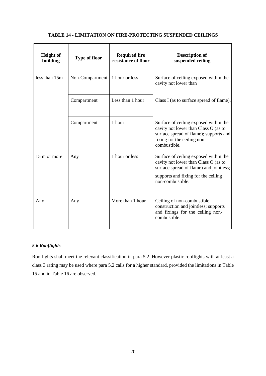|  | <b>TABLE 14 - LIMITATION ON FIRE-PROTECTING SUSPENDED CEILINGS</b> |  |
|--|--------------------------------------------------------------------|--|
|--|--------------------------------------------------------------------|--|

| <b>Height of</b><br>building | <b>Type of floor</b> | <b>Required fire</b><br>resistance of floor | <b>Description of</b><br>suspended ceiling                                                                                                                                          |
|------------------------------|----------------------|---------------------------------------------|-------------------------------------------------------------------------------------------------------------------------------------------------------------------------------------|
| less than 15m                | Non-Compartment      | 1 hour or less                              | Surface of ceiling exposed within the<br>cavity not lower than                                                                                                                      |
|                              | Compartment          | Less than 1 hour                            | Class I (as to surface spread of flame).                                                                                                                                            |
|                              | Compartment          | 1 hour                                      | Surface of ceiling exposed within the<br>cavity not lower than Class O (as to<br>surface spread of flame); supports and<br>fixing for the ceiling non-<br>combustible.              |
| 15 m or more                 | Any                  | 1 hour or less                              | Surface of ceiling exposed within the<br>cavity not lower than Class O (as to<br>surface spread of flame) and jointless;<br>supports and fixing for the ceiling<br>non-combustible. |
| Any                          | Any                  | More than 1 hour                            | Ceiling of non-combustible<br>construction and jointless; supports<br>and fixings for the ceiling non-<br>combustible.                                                              |

## *5.6 Rooflights*

Rooflights shall meet the relevant classification in para 5.2. However plastic rooflights with at least a class 3 rating may be used where para 5.2 calls for a higher standard, provided the limitations in Table 15 and in Table 16 are observed.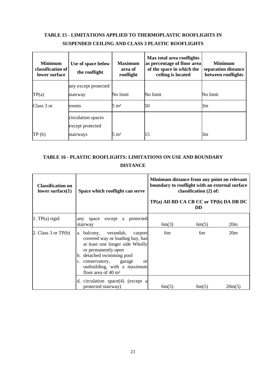# **TABLE 15 - LIMITATIONS APPLIED TO THERMOPLASTIC ROOFLIGHTS IN SUSPENDED CEILING AND CLASS 3 PLASTIC ROOFLIGHTS**

| <b>Minimum</b><br>classification of<br>lower surface | Use of space below<br>the rooflight    | <b>Maximum</b><br>area of<br>rooflight | Max total area rooflights<br>as percentage of floor area<br>of the space in which the<br>ceiling is located | <b>Minimum</b><br>separation distance<br>between rooflights |
|------------------------------------------------------|----------------------------------------|----------------------------------------|-------------------------------------------------------------------------------------------------------------|-------------------------------------------------------------|
|                                                      | any except protected                   |                                        |                                                                                                             |                                                             |
| TP(a)                                                | stairway                               | No limit                               | No limit                                                                                                    | No limit                                                    |
| Class 3 or                                           | rooms                                  | $5 \text{ m}^2$                        | 50                                                                                                          | Зm                                                          |
|                                                      | circulation spaces<br>except protected |                                        |                                                                                                             |                                                             |
| TP(b)                                                | stairways                              | $5 \text{ m}^2$                        | 15                                                                                                          | Зm                                                          |

## **TABLE 16 - PLASTIC ROOFLIGHTS: LIMITATIONS ON USE AND BOUNDARY DISTANCE**

| <b>Classification on</b><br>lower surface $(1)$ | Space which rooflight can serve                                                                                                                                                                                                                                     | Minimum distance from any point on relevant<br>boundary to rooflight with an external surface<br>classification (2) of:<br>TP(a) AD BD CA CB CC or TP(b) DA DB DC<br><b>DD</b> |       |                 |
|-------------------------------------------------|---------------------------------------------------------------------------------------------------------------------------------------------------------------------------------------------------------------------------------------------------------------------|--------------------------------------------------------------------------------------------------------------------------------------------------------------------------------|-------|-----------------|
| $\vert 1.$ TP(a) rigid                          | except a protected<br>any space<br>stairway                                                                                                                                                                                                                         | 6m(3)                                                                                                                                                                          | 6m(5) | 20m             |
| 2. Class $3$ or TP(b)                           | a. balcony, verandah,<br>carport<br>covered way or loading bay, has<br>at least one longer side Wholly<br>or permanently open<br>b. detached swimming pool<br>c. conservatory, garage<br><b>or</b><br>outbuilding, with a maximum<br>floor area of $40 \text{ m}^2$ | 6m                                                                                                                                                                             | 6m    | 20 <sub>m</sub> |
|                                                 | d. circulation $space(4)$ (except a<br>protected stairway)                                                                                                                                                                                                          | 6m(5)                                                                                                                                                                          | 6m(5) | 20m(5)          |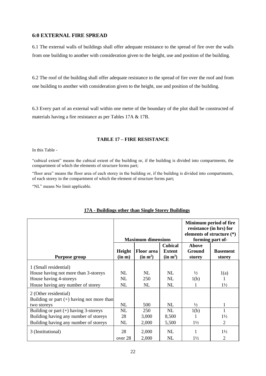## <span id="page-23-0"></span>**6:0 EXTERNAL FIRE SPREAD**

6.1 The external walls of buildings shall offer adequate resistance to the spread of fire over the walls from one building to another with consideration given to the height, use and position of the building.

6.2 The roof of the building shall offer adequate resistance to the spread of fire over the roof and from one building to another with consideration given to the height, use and position of the building.

6.3 Every part of an external wall within one metre of the boundary of the plot shall be constructed of materials having a fire resistance as per Tables 17A & 17B.

## **TABLE 17 – FIRE RESISTANCE**

In this Table -

"cubical extent" means the cubical extent of the building or, if the building is divided into compartments, the compartment of which the elements of structure forms part;

"floor area" means the floor area of each storey in the building or, if the building is divided into compartments, of each storey in the compartment of which the element of structure forms part;

"NL" means No limit applicable.

|                                                                                                                              | <b>Maximum dimensions</b> |                                           |                                                         | Minimum period of fire<br>resistance (in hrs) for<br>elements of structure (*)<br>forming part of- |                           |
|------------------------------------------------------------------------------------------------------------------------------|---------------------------|-------------------------------------------|---------------------------------------------------------|----------------------------------------------------------------------------------------------------|---------------------------|
| <b>Purpose group</b>                                                                                                         | Height<br>(in m)          | <b>Floor area</b><br>(in m <sup>2</sup> ) | <b>Cubical</b><br><b>Extent</b><br>(in m <sup>3</sup> ) | Above<br>Ground<br>storey                                                                          | <b>Basement</b><br>storey |
| 1 (Small residential)<br>House having not more than 3-storeys<br>House having 4-storeys<br>House having any number of storey | NL<br>NL<br>NL            | NL.<br>250<br>NL                          | NL<br>NL<br>NL                                          | $\frac{1}{2}$<br>1(b)                                                                              | 1(a)<br>$1\frac{1}{2}$    |
| 2 (Other residential)<br>Building or part $(+)$ having not more than<br>two storeys                                          | NL                        | 500                                       | NL                                                      | $\frac{1}{2}$                                                                                      |                           |
| Building or part $(+)$ having 3-storeys<br>Building having any number of storeys<br>Building having any number of storeys    | NL<br>28<br>NL            | 250<br>3,000<br>2,000                     | NL<br>8,500<br>5,500                                    | 1(b)<br>$1\frac{1}{2}$                                                                             | $1\frac{1}{2}$<br>2       |
| 3 (Institutional)                                                                                                            | 28<br>over 28             | 2,000<br>2,000                            | NL<br>NL                                                | $1\frac{1}{2}$                                                                                     | $1\frac{1}{2}$<br>2       |

## **17A - Buildings other than Single Storey Buildings**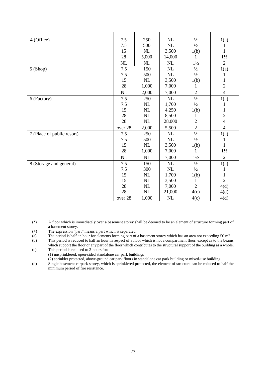| 4 (Office)                 | 7.5     | 250      | NL                              | $\frac{1}{2}$  | 1(a)           |
|----------------------------|---------|----------|---------------------------------|----------------|----------------|
|                            | 7.5     | 500      | <b>NL</b>                       | $\frac{1}{2}$  | 1              |
|                            | 15      | NL       | 3,500                           | 1(b)           | 1              |
|                            | 28      | 5,000    | 14,000                          | 1              | $1\frac{1}{2}$ |
|                            | NL      | NL       | NL                              | $1\frac{1}{2}$ | $\sqrt{2}$     |
| 5(Shop)                    | 7.5     | 150      | NL                              | $\frac{1}{2}$  | 1(a)           |
|                            | 7.5     | 500      | $\rm NL$                        | $\frac{1}{2}$  | 1              |
|                            | 15      | $\rm NL$ | 3,500                           | 1(b)           | $\mathbf{1}$   |
|                            | $28\,$  | 1,000    | 7,000                           | 1              | $\overline{2}$ |
|                            | NL      | 2,000    | 7,000                           | $\overline{2}$ | $\overline{4}$ |
| 6 (Factory)                | 7.5     | 250      | NL                              | $\frac{1}{2}$  | 1(a)           |
|                            | 7.5     | NL       | 1,700                           | $\frac{1}{2}$  | 1              |
|                            | 15      | $\rm NL$ | 4,250                           | 1(b)           | $\mathbf{1}$   |
|                            | $28\,$  | $\rm NL$ | 8,500                           | 1              | $\frac{2}{4}$  |
|                            | 28      | $\rm NL$ | 28,000                          | $\overline{c}$ |                |
|                            | over 28 | 2,000    | 5,500                           | $\overline{2}$ | $\overline{4}$ |
| 7 (Place of public resort) | 7.5     | 250      | NL                              | $\frac{1}{2}$  | 1(a)           |
|                            | 7.5     | 500      | $\ensuremath{\text{NL}}\xspace$ | $\frac{1}{2}$  | 1              |
|                            | 15      | $\rm NL$ | 3,500                           | 1(b)           | $\mathbf{1}$   |
|                            | 28      | 1,000    | 7,000                           | 1              | $1\frac{1}{2}$ |
|                            | NL      | NL       | 7,000                           | $1\frac{1}{2}$ | $\overline{2}$ |
| 8 (Storage and general)    | 7.5     | 150      | <b>NL</b>                       | $\frac{1}{2}$  | 1(a)           |
|                            | 7.5     | 300      | NL                              | $\frac{1}{2}$  |                |
|                            | 15      | NL       | 1,700                           | 1(b)           | 1              |
|                            | 15      | NL       | 3,500                           | 1              | $\overline{2}$ |
|                            | $28\,$  | NL       | 7,000                           | $\overline{2}$ | 4(d)           |
|                            | 28      | $\rm NL$ | 21,000                          | 4(c)           | 4(d)           |
|                            | over 28 | 1,000    | <b>NL</b>                       | 4(c)           | 4(d)           |

(\*) A floor which is immediately over a basement storey shall be deemed to be an element of structure forming part of a basement storey.

- (+) The expression "part" means a part which is separated.
- (a) The period is half an hour for elements forming part of a basement storey which has an area not exceeding 50 m2
- (b) This period is reduced to half an hour in respect of a floor which is not a compartment floor, except as to the beams which support the floor or any part of the floor which contributes to the structural support of the building as a whole.
- (c) This period is reduced to 2-hours for: (1) unsprinklered, open-sided standalone car park buildings
	- (2) sprinkler protected, above-ground car park floors in standalone car park building or mixed-use building.
- (d) Single basement carpark storey, which is sprinklered protected, the element of structure can be reduced to half the minimum period of fire resistance.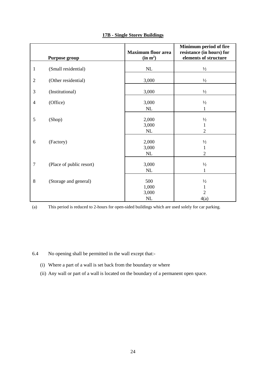|                | Purpose group            | <b>Maximum floor area</b><br>(in m <sup>2</sup> ) | Minimum period of fire<br>resistance (in hours) for<br>elements of structure |
|----------------|--------------------------|---------------------------------------------------|------------------------------------------------------------------------------|
| $\mathbf{1}$   | (Small residential)      | NL                                                | $\frac{1}{2}$                                                                |
| $\mathbf{2}$   | (Other residential)      | 3,000                                             | $\frac{1}{2}$                                                                |
| $\mathfrak{Z}$ | (Institutional)          | 3,000                                             | $1/2$                                                                        |
| $\overline{4}$ | (Office)                 | 3,000<br>NL                                       | $\frac{1}{2}$<br>1                                                           |
| 5              | (Shop)                   | 2,000<br>3,000<br>NL                              | $\frac{1}{2}$<br>$\mathbf{1}$<br>$\overline{2}$                              |
| 6              | (Factory)                | 2,000<br>3,000<br>$\rm NL$                        | $\frac{1}{2}$<br>1<br>$\overline{2}$                                         |
| $\overline{7}$ | (Place of public resort) | 3,000<br>$\rm NL$                                 | $\frac{1}{2}$<br>$\mathbf{1}$                                                |
| $\,8\,$        | (Storage and general)    | 500<br>1,000<br>3,000<br>$\rm NL$                 | $\frac{1}{2}$<br>$\mathbf{1}$<br>$\overline{2}$<br>4(a)                      |

## **17B - Single Storey Buildings**

(a) This period is reduced to 2-hours for open-sided buildings which are used solely for car parking.

6.4 No opening shall be permitted in the wall except that:-

- (i) Where a part of a wall is set back from the boundary or where
- (ii) Any wall or part of a wall is located on the boundary of a permanent open space.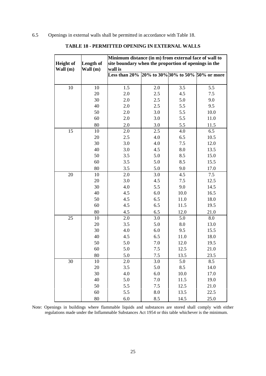6.5 Openings in external walls shall be permitted in accordance with Table 18.

|                  |                  | Minimum distance (in m) from external face of wall to |     |      |      |  |  |
|------------------|------------------|-------------------------------------------------------|-----|------|------|--|--|
| <b>Height of</b> | <b>Length of</b> | site boundary when the proportion of openings in the  |     |      |      |  |  |
| Wall (m)         | Wall $(m)$       | wall is                                               |     |      |      |  |  |
|                  |                  | Less than 20% 20% to 30% 30% to 50% 50% or more       |     |      |      |  |  |
|                  |                  |                                                       |     |      |      |  |  |
| 10               | 10               | 1.5                                                   | 2.0 | 3.5  | 5.5  |  |  |
|                  | 20               | 2.0                                                   | 2.5 | 4.5  | 7.5  |  |  |
|                  | 30               | 2.0                                                   | 2.5 | 5.0  | 9.0  |  |  |
|                  | 40               | 2.0                                                   | 2.5 | 5.5  | 9.5  |  |  |
|                  | 50               | 2.0                                                   | 3.0 | 5.5  | 10.0 |  |  |
|                  | 60               | 2.0                                                   | 3.0 | 5.5  | 11.0 |  |  |
|                  | 80               | 2.0                                                   | 3.0 | 5.5  | 11.5 |  |  |
| 15               | 10               | 2.0                                                   | 2.5 | 4.0  | 6.5  |  |  |
|                  | 20               | 2.5                                                   | 4.0 | 6.5  | 10.5 |  |  |
|                  | 30               | 3.0                                                   | 4.0 | 7.5  | 12.0 |  |  |
|                  | 40               | 3.0                                                   | 4.5 | 8.0  | 13.5 |  |  |
|                  | 50               | 3.5                                                   | 5.0 | 8.5  | 15.0 |  |  |
|                  | 60               | 3.5                                                   | 5.0 | 8.5  | 15.5 |  |  |
|                  | 80               | 3.5                                                   | 5.0 | 9.0  | 17.0 |  |  |
| 20               | 10               | 2.0                                                   | 3.0 | 4.5  | 7.5  |  |  |
|                  | 20               | 3.0                                                   | 4.5 | 7.5  | 12.5 |  |  |
|                  | 30               | 4.0                                                   | 5.5 | 9.0  | 14.5 |  |  |
|                  | 40               | 4.5                                                   | 6.0 | 10.0 | 16.5 |  |  |
|                  | 50               | 4.5                                                   | 6.5 | 11.0 | 18.0 |  |  |
|                  | 60               | 4.5                                                   | 6.5 | 11.5 | 19.5 |  |  |
|                  | 80               | 4.5                                                   | 6.5 | 12.0 | 21.0 |  |  |
| 25               | 10               | 2.0                                                   | 3.0 | 5.0  | 8.0  |  |  |
|                  | 20               | 3.5                                                   | 5.0 | 8.0  | 13.0 |  |  |
|                  | 30               | 4.0                                                   | 6.0 | 9.5  | 15.5 |  |  |
|                  | 40               | 4.5                                                   | 6.5 | 11.0 | 18.0 |  |  |
|                  | 50               | 5.0                                                   | 7.0 | 12.0 | 19.5 |  |  |
|                  | 60               | 5.0                                                   | 7.5 | 12.5 | 21.0 |  |  |
|                  | 80               | 5.0                                                   | 7.5 | 13.5 | 23.5 |  |  |
| 30               | 10               | 2.0                                                   | 3.0 | 5.0  | 8.5  |  |  |
|                  | 20               | 3.5                                                   | 5.0 | 8.5  | 14.0 |  |  |
|                  | 30               | 4.0                                                   | 6.0 | 10.0 | 17.0 |  |  |
|                  | 40               | 5.0                                                   | 7.0 | 11.5 | 19.0 |  |  |
|                  | 50               | 5.5                                                   | 7.5 | 12.5 | 21.0 |  |  |
|                  | 60               | 5.5                                                   | 8.0 | 13.5 | 22.5 |  |  |
|                  | 80               | 6.0                                                   | 8.5 | 14.5 | 25.0 |  |  |

## **TABLE 18 - PERMITTED OPENING IN EXTERNAL WALLS**

Note: Openings in buildings where flammable liquids and substances are stored shall comply with either regulations made under the Inflammable Substances Act 1954 or this table whichever is the minimum.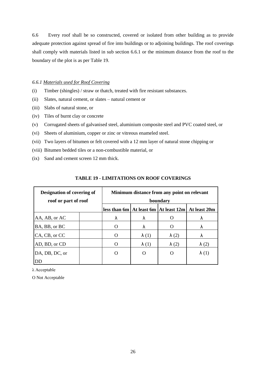6.6 Every roof shall be so constructed, covered or isolated from other building as to provide adequate protection against spread of fire into buildings or to adjoining buildings. The roof coverings shall comply with materials listed in sub section 6.6.1 or the minimum distance from the roof to the boundary of the plot is as per Table 19.

#### *6.6.1 Materials used for Roof Covering*

- (i) Timber (shingles) / straw or thatch, treated with fire resistant substances.
- (ii) Slates, natural cement, or slates natural cement or
- (iii) Slabs of natural stone, or
- (iv) Tiles of burnt clay or concrete
- (v) Corrugated sheets of galvanised steel, aluminium composite steel and PVC coated steel, or
- (vi) Sheets of aluminium, copper or zinc or vitreous enameled steel.
- (vii) Two layers of bitumen or felt covered with a 12 mm layer of natural stone chipping or
- (viii) Bitumen bedded tiles or a non-combustible material, or
- (ix) Sand and cement screen 12 mm thick.

| <b>Designation of covering of</b><br>roof or part of roof | Minimum distance from any point on relevant<br>boundary |              |              |                                                          |  |
|-----------------------------------------------------------|---------------------------------------------------------|--------------|--------------|----------------------------------------------------------|--|
|                                                           |                                                         |              |              | less than 6m   At least 6m   At least 12m   At least 20m |  |
| AA, AB, or AC                                             | Λ                                                       | Λ            |              | Λ                                                        |  |
| BA, BB, or BC                                             | ∩                                                       | λ            |              | ٨                                                        |  |
| CA, CB, or CC                                             |                                                         | $\lambda(1)$ | $\lambda(2)$ | ۸                                                        |  |
| AD, BD, or CD                                             |                                                         | $\lambda(1)$ | $\lambda(2)$ | $\lambda(2)$                                             |  |
| DA, DB, DC, or                                            |                                                         | $\Omega$     | O            | $\lambda(1)$                                             |  |
| DD                                                        |                                                         |              |              |                                                          |  |

#### **TABLE 19 - LIMITATIONS ON ROOF COVERINGS**

λ Acceptable

O Not Acceptable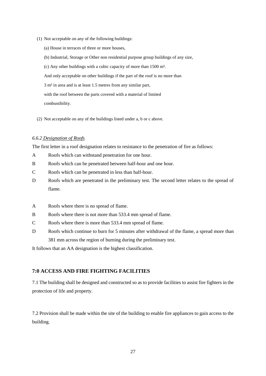- (1) Not acceptable on any of the following buildings:
	- (a) House in terraces of three or more houses,
	- (b) Industrial, Storage or Other non residential purpose group buildings of any size,

(c) Any other buildings with a cubic capacity of more than  $1500 \text{ m}^3$ .

And only acceptable on other buildings if the part of the roof is no more than

 $3 \text{ m}^3$  in area and is at least 1.5 metres from any similar part,

with the roof between the parts covered with a material of limited

combustibility.

(2) Not acceptable on any of the buildings listed under a, b or c above.

#### *6.6.2 Designation of Roofs*

The first letter in a roof designation relates to resistance to the penetration of fire as follows:

- A Roofs which can withstand penetration for one hour.
- B Roofs which can be penetrated between half-hour and one hour.
- C Roofs which can be penetrated in less than half-hour.
- D Roofs which are penetrated in the preliminary test. The second letter relates to the spread of flame.
- A Roofs where there is no spread of flame.
- B Roofs where there is not more than 533.4 mm spread of flame.
- C Roofs where there is more than 533.4 mm spread of flame.
- D Roofs which continue to burn for 5 minutes after withdrawal of the flame, a spread more than 381 mm across the region of burning during the preliminary test.

It follows that an AA designation is the highest classification.

## <span id="page-28-0"></span>**7:0 ACCESS AND FIRE FIGHTING FACILITIES**

7.1 The building shall be designed and constructed so as to provide facilities to assist fire fighters in the protection of life and property.

7.2 Provision shall be made within the site of the building to enable fire appliances to gain access to the building.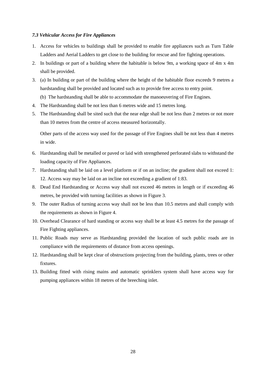#### *7.3 Vehicular Access for Fire Appliances*

- 1. Access for vehicles to buildings shall be provided to enable fire appliances such as Turn Table Ladders and Aerial Ladders to get close to the building for rescue and fire fighting operations.
- 2. In buildings or part of a building where the habitable is below 9m, a working space of 4m x 4m shall be provided.
- 3. (a) In building or part of the building where the height of the habitable floor exceeds 9 metres a hardstanding shall be provided and located such as to provide free access to entry point.
	- (b) The hardstanding shall be able to accommodate the manoeuvering of Fire Engines.
- 4. The Hardstanding shall be not less than 6 metres wide and 15 metres long.
- 5. The Hardstanding shall be sited such that the near edge shall be not less than 2 metres or not more than 10 metres from the centre of access measured horizontally.

Other parts of the access way used for the passage of Fire Engines shall be not less than 4 metres in wide.

- 6. Hardstanding shall be metalled or paved or laid with strengthened perforated slabs to withstand the loading capacity of Fire Appliances.
- 7. Hardstanding shall be laid on a level platform or if on an incline; the gradient shall not exceed 1: 12. Access way may be laid on an incline not exceeding a gradient of 1:83.
- 8. Dead End Hardstanding or Access way shall not exceed 46 metres in length or if exceeding 46 metres, be provided with turning facilities as shown in Figure 3.
- 9. The outer Radius of turning access way shall not be less than 10.5 metres and shall comply with the requirements as shown in Figure 4.
- 10. Overhead Clearance of hard standing or access way shall be at least 4.5 metres for the passage of Fire Fighting appliances.
- 11. Public Roads may serve as Hardstanding provided the location of such public roads are in compliance with the requirements of distance from access openings.
- 12. Hardstanding shall be kept clear of obstructions projecting from the building, plants, trees or other fixtures.
- 13. Building fitted with rising mains and automatic sprinklers system shall have access way for pumping appliances within 18 metres of the breeching inlet.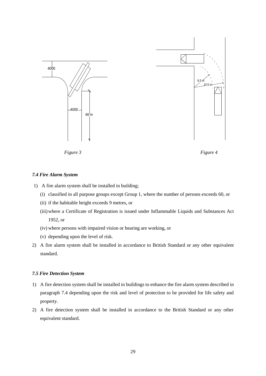

*Figure 3 Figure 4*

#### *7.4 Fire Alarm System*

- 1) A fire alarm system shall be installed in building;
	- (i) classified in all purpose groups except Group 1, where the number of persons exceeds 60, or
	- (ii) if the habitable height exceeds 9 metres, or
	- (iii)where a Certificate of Registration is issued under Inflammable Liquids and Substances Act 1952, or
	- (iv) where persons with impaired vision or hearing are working, or
	- (v) depending upon the level of risk.
- 2) A fire alarm system shall be installed in accordance to British Standard or any other equivalent standard.

#### *7.5 Fire Detection System*

- 1) A fire detection system shall be installed in buildings to enhance the fire alarm system described in paragraph 7.4 depending upon the risk and level of protection to be provided for life safety and property.
- 2) A fire detection system shall be installed in accordance to the British Standard or any other equivalent standard.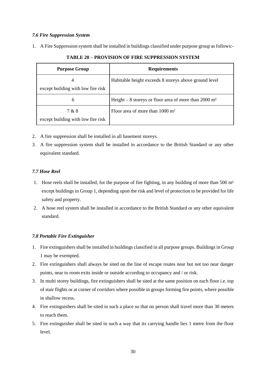#### *7.6 Fire Suppression System*

1. A Fire Suppression system shall be installed in buildings classified under purpose group as follows:-

| <b>Purpose Group</b>                        | <b>Requirements</b>                                              |
|---------------------------------------------|------------------------------------------------------------------|
| 4<br>except building with low fire risk     | Habitable height exceeds 8 storeys above ground level            |
| 6                                           | Height – 8 storeys or floor area of more than $2000 \text{ m}^2$ |
| 7 & 8<br>except building with low fire risk | Floor area of more than $1000 \text{ m}^2$                       |

**TABLE 20 – PROVISION OF FIRE SUPPRESSION SYSTEM**

- 2. A fire suppression shall be installed in all basement storeys.
- 3. A fire suppression system shall be installed in accordance to the British Standard or any other equivalent standard.

## *7.7 Hose Reel*

- 1. Hose reels shall be installed, for the purpose of fire fighting, in any building of more than 500 m² except buildings in Group 1, depending upon the risk and level of protection to be provided for life safety and property.
- 2. A hose reel system shall be installed in accordance to the British Standard or any other equivalent standard.

## *7.8 Portable Fire Extinguisher*

- 1. Fire extinguishers shall be installed in buildings classified in all purpose groups. Buildings in Group 1 may be exempted.
- 2. Fire extinguishers shall always be sited on the line of escape routes near but not too near danger points, near to room exits inside or outside according to occupancy and / or risk.
- 3. In multi storey buildings, fire extinguishers shall be sited at the same position on each floor i.e. top of stair flights or at corner of corridors where possible in groups forming fire points, where possible in shallow recess.
- 4. Fire extinguishers shall be sited in such a place so that no person shall travel more than 30 meters to reach them.
- 5. Fire extinguisher shall be sited in such a way that its carrying handle lies 1 metre from the floor level.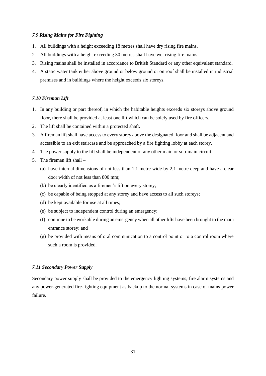#### *7.9 Rising Mains for Fire Fighting*

- 1. All buildings with a height exceeding 18 metres shall have dry rising fire mains.
- 2. All buildings with a height exceeding 30 metres shall have wet rising fire mains.
- 3. Rising mains shall be installed in accordance to British Standard or any other equivalent standard.
- 4. A static water tank either above ground or below ground or on roof shall be installed in industrial premises and in buildings where the height exceeds six storeys.

#### *7.10 Fireman Lift*

- 1. In any building or part thereof, in which the habitable heights exceeds six storeys above ground floor, there shall be provided at least one lift which can be solely used by fire officers.
- 2. The lift shall be contained within a protected shaft.
- 3. A fireman lift shall have access to every storey above the designated floor and shall be adjacent and accessible to an exit staircase and be approached by a fire fighting lobby at each storey.
- 4. The power supply to the lift shall be independent of any other main or sub-main circuit.
- 5. The fireman lift shall
	- (a) have internal dimensions of not less than 1,1 metre wide by 2,1 metre deep and have a clear door width of not less than 800 mm;
	- (b) be clearly identified as a firemen's lift on every storey;
	- (c) be capable of being stopped at any storey and have access to all such storeys;
	- (d) be kept available for use at all times;
	- (e) be subject to independent control during an emergency;
	- (f) continue to be workable during an emergency when all other lifts have been brought to the main entrance storey; and
	- (g) be provided with means of oral communication to a control point or to a control room where such a room is provided.

#### *7.11 Secondary Power Supply*

Secondary power supply shall be provided to the emergency lighting systems, fire alarm systems and any power-generated fire-fighting equipment as backup to the normal systems in case of mains power failure.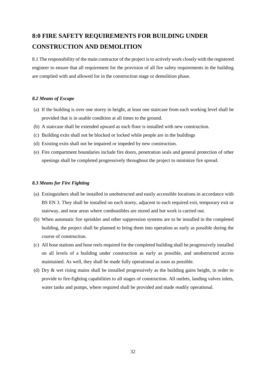# <span id="page-33-0"></span>**8:0 FIRE SAFETY REQUIREMENTS FOR BUILDING UNDER CONSTRUCTION AND DEMOLITION**

8.1 The responsibility of the main contractor of the project is to actively work closely with the registered engineer to ensure that all requirement for the provision of all fire safety requirements in the building are complied with and allowed for in the construction stage or demolition phase.

#### *8.2 Means of Escape*

- (a) If the building is over one storey in height, at least one staircase from each working level shall be provided that is in usable condition at all times to the ground.
- (b) A staircase shall be extended upward as each floor is installed with new construction.
- (c) Building exits shall not be blocked or locked while people are in the buildings
- (d) Existing exits shall not be impaired or impeded by new construction.
- (e) Fire compartment boundaries include fire doors, penetration seals and general protection of other openings shall be completed progressively throughout the project to minimize fire spread.

#### *8.3 Means for Fire Fighting*

- (a) Extinguishers shall be installed in unobstructed and easily accessible locations in accordance with BS EN 3. They shall be installed on each storey, adjacent to each required exit, temporary exit or stairway, and near areas where combustibles are stored and hot work is carried out.
- (b) When automatic fire sprinkler and other suppression systems are to be installed in the completed building, the project shall be planned to bring them into operation as early as possible during the course of construction.
- (c) All hose stations and hose reels required for the completed building shall be progressively installed on all levels of a building under construction as early as possible, and unobstructed access maintained. As well, they shall be made fully operational as soon as possible.
- (d) Dry & wet rising mains shall be installed progressively as the building gains height, in order to provide to fire-fighting capabilities to all stages of construction. All outlets, landing valves inlets, water tanks and pumps, where required shall be provided and made readily operational.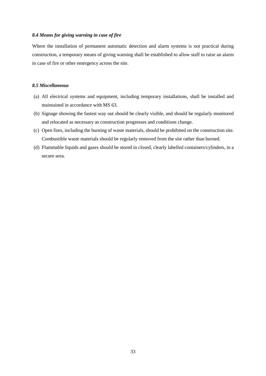#### *8.4 Means for giving warning in case of fire*

Where the installation of permanent automatic detection and alarm systems is not practical during construction, a temporary means of giving warning shall be established to allow staff to raise an alarm in case of fire or other emergency across the site.

#### *8.5 Miscellaneous*

- (a) All electrical systems and equipment, including temporary installations, shall be installed and maintained in accordance with MS 63.
- (b) Signage showing the fastest way out should be clearly visible, and should be regularly monitored and relocated as necessary as construction progresses and conditions change.
- (c) Open fires, including the burning of waste materials, should be prohibited on the construction site. Combustible waste materials should be regularly removed from the site rather than burned.
- (d) Flammable liquids and gases should be stored in closed, clearly labelled containers/cylinders, in a secure area.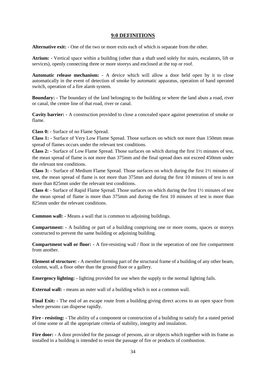### **9:0 DEFINITIONS**

<span id="page-35-0"></span>**Alternative exit: -** One of the two or more exits each of which is separate from the other.

**Atrium: -** Vertical space within a building (other than a shaft used solely for stairs, escalators, lift or services), openly connecting three or more storeys and enclosed at the top or roof.

**Automatic release mechanism: -** A device which will allow a door held open by it to close automatically in the event of detection of smoke by automatic apparatus, operation of hand operated switch, operation of a fire alarm system.

**Boundary: -** The boundary of the land belonging to the building or where the land abuts a road, river or canal, the centre line of that road, river or canal.

**Cavity barrier: -** A construction provided to close a concealed space against penetration of smoke or flame.

**Class 0: -** Surface of no Flame Spread.

**Class 1: -** Surface of Very Low Flame Spread. Those surfaces on which not more than 150mm mean spread of flames occurs under the relevant test conditions.

**Class 2: -** Surface of Low Flame Spread. Those surfaces on which during the first 1½ minutes of test, the mean spread of flame is not more than 375mm and the final spread does not exceed 450mm under the relevant test conditions.

**Class 3: -** Surface of Medium Flame Spread. Those surfaces on which during the first 1½ minutes of test, the mean spread of flame is not more than 375mm and during the first 10 minutes of test is not more than 825mm under the relevant test conditions.

**Class 4: -** Surface of Rapid Flame Spread. Those surfaces on which during the first 1½ minutes of test the mean spread of flame is more than 375mm and during the first 10 minutes of test is more than 825mm under the relevant conditions.

**Common wall: -** Means a wall that is common to adjoining buildings.

**Compartment: -** A building or part of a building comprising one or more rooms, spaces or storeys constructed to prevent the same building or adjoining building.

**Compartment wall or floor: -** A fire-resisting wall / floor in the seperation of one fire compartment from another.

**Element of structure: -** A member forming part of the structural frame of a building of any other beam, column, wall, a floor other than the ground floor or a gallery.

**Emergency lighting:**  $\cdot$  lighting provided for use when the supply to the normal lighting fails.

**External wall: -** means an outer wall of a building which is not a common wall.

**Final Exit: -** The end of an escape route from a building giving direct access to an open space from where persons can disperse rapidly.

**Fire - resisting: -** The ability of a component or construction of a building to satisfy for a stated period of time some or all the appropriate criteria of stability, integrity and insulation.

**Fire door: -** A door provided for the passage of persons, air or objects which together with its frame as installed in a building is intended to resist the passage of fire or products of combustion.